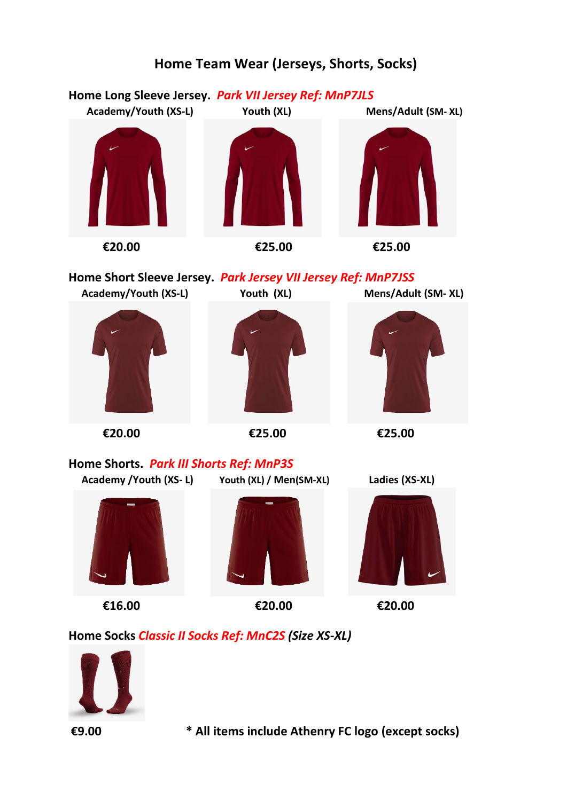

#### **Home Team Wear (Jerseys, Shorts, Socks)**



**€9.00 \* All items include Athenry FC logo (except socks)**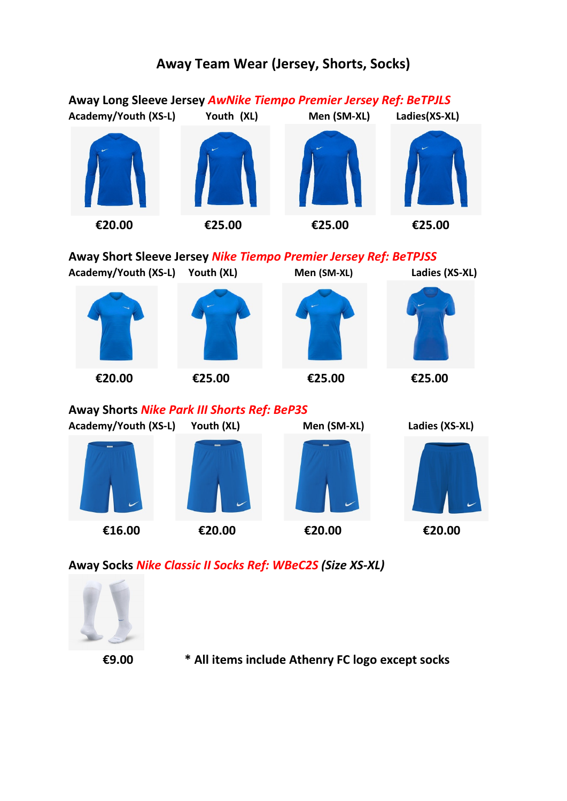# **Away Long Sleeve Jersey** *AwNike Tiempo Premier Jersey Ref: BeTPJLS* **Academy/Youth (XS-L) Youth (XL) Men (SM-XL) Ladies(XS-XL) €20.00 €25.00 €25.00 €25.00 Away Short Sleeve Jersey** *Nike Tiempo Premier Jersey Ref: BeTPJSS* **Academy/Youth (XS-L) Youth (XL) Men (SM-XL) Ladies (XS-XL) €20.00 €25.00 €25.00 €25.00 Away Shorts** *Nike Park III Shorts Ref: BeP3S* **Academy/Youth (XS-L) Youth (XL) Men (SM-XL) Ladies (XS-XL) €16.00 €20.00 €20.00 €20.00**

**Away Socks** *Nike Classic II Socks Ref: WBeC2S (Size XS-XL)*



**€9.00 \* All items include Athenry FC logo except socks**

## **Away Team Wear (Jersey, Shorts, Socks)**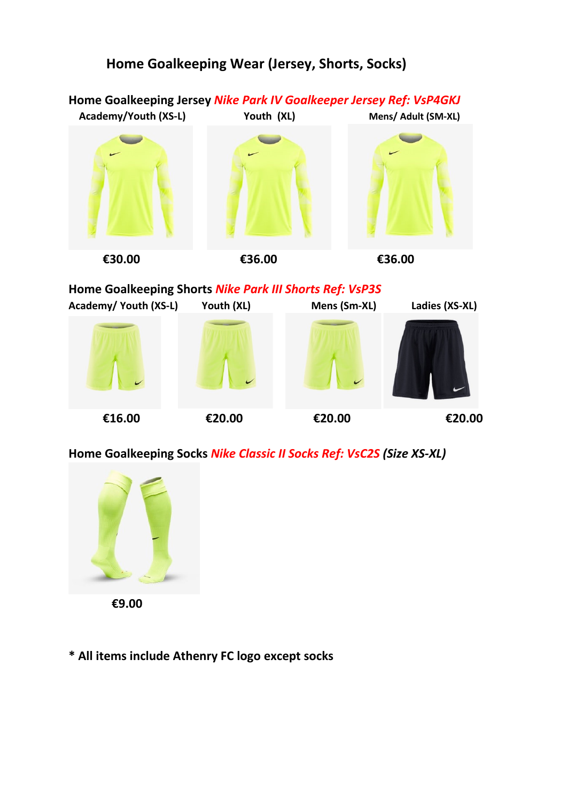### **Home Goalkeeping Wear (Jersey, Shorts, Socks)**



**Home Goalkeeping Shorts** *Nike Park III Shorts Ref: VsP3S*



**Home Goalkeeping Socks** *Nike Classic II Socks Ref: VsC2S (Size XS-XL)*



 **€9.00**

**\* All items include Athenry FC logo except socks**